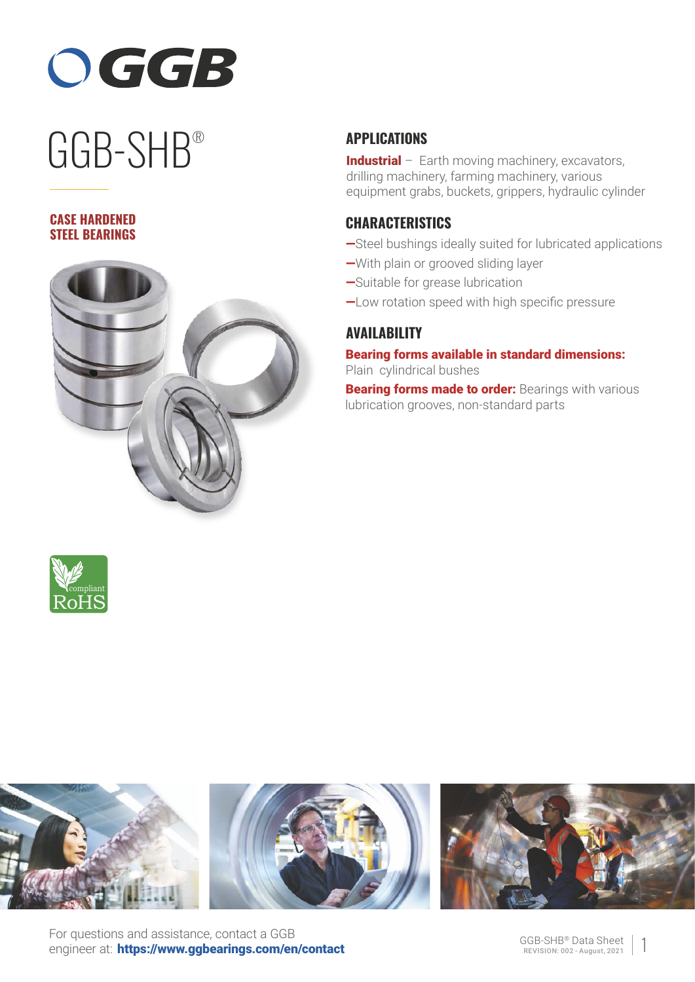

# ® GGB-SHB

#### **CASE HARDENED STEEL BEARINGS**



## **APPLICATIONS**

Industrial - Earth moving machinery, excavators, drilling machinery, farming machinery, various equipment grabs, buckets, grippers, hydraulic cylinder

### **CHARACTERISTICS**

- —Steel bushings ideally suited for lubricated applications
- —With plain or grooved sliding layer
- —Suitable for grease lubrication
- —Low rotation speed with high specific pressure

# **AVAILABILITY**

Bearing forms available in standard dimensions: Plain cylindrical bushes

**Bearing forms made to order: Bearings with various** lubrication grooves, non-standard parts